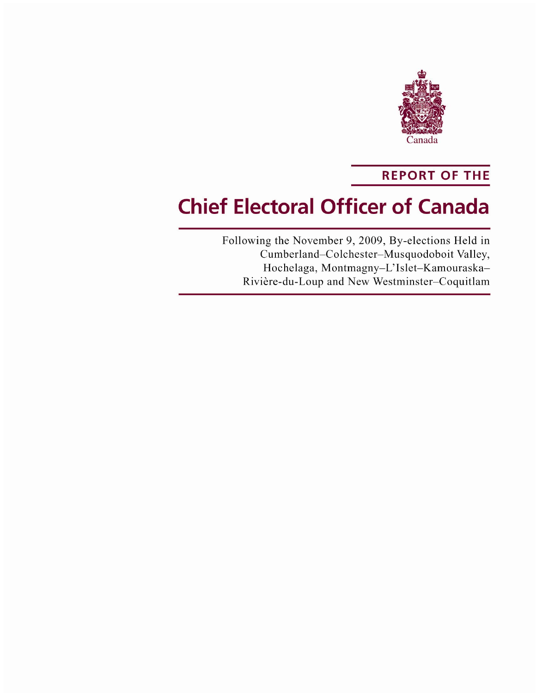

# **REPORT OF THE**

# **Chief Electoral Officer of Canada**

Following the November 9, 2009, By-elections Held in Cumberland-Colchester-Musquodoboit Valley, Hochelaga, Montmagny-L'Islet-Kamouraska-Rivière-du-Loup and New Westminster-Coquitlam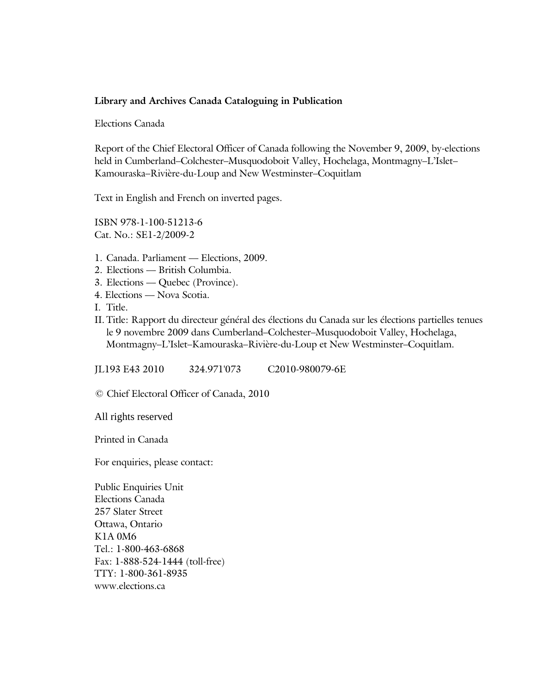#### **Library and Archives Canada Cataloguing in Publication**

Elections Canada

Report of the Chief Electoral Officer of Canada following the November 9, 2009, by-elections held in Cumberland–Colchester–Musquodoboit Valley, Hochelaga, Montmagny–L'Islet– Kamouraska–Rivière-du-Loup and New Westminster–Coquitlam

Text in English and French on inverted pages.

ISBN 978-1-100-51213-6 Cat. No.: SE1-2/2009-2

- 1. Canada. Parliament Elections, 2009.
- 2. Elections British Columbia.
- 3. Elections Quebec (Province).
- 4. Elections Nova Scotia.
- I. Title.
- II. Title: Rapport du directeur général des élections du Canada sur les élections partielles tenues le 9 novembre 2009 dans Cumberland–Colchester–Musquodoboit Valley, Hochelaga, Montmagny–L'Islet–Kamouraska–Rivière-du-Loup et New Westminster–Coquitlam.

JL193 E43 2010 324.971'073 C2010-980079-6E

© Chief Electoral Officer of Canada, 2010

All rights reserved

Printed in Canada

For enquiries, please contact:

Public Enquiries Unit Elections Canada 257 Slater Street Ottawa, Ontario K1A 0M6 Tel.: 1-800-463-6868 Fax: 1-888-524-1444 (toll-free) TTY: 1-800-361-8935 www.elections.ca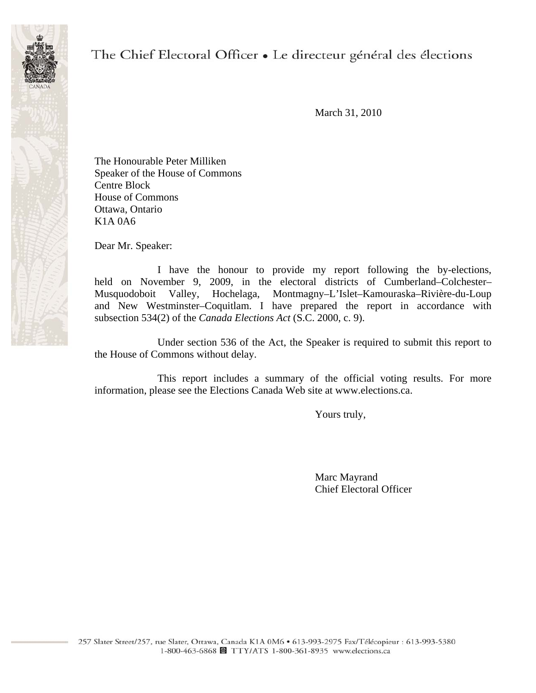

# The Chief Electoral Officer • Le directeur général des élections

March 31, 2010

The Honourable Peter Milliken Speaker of the House of Commons Centre Block House of Commons Ottawa, Ontario K1A 0A6

Dear Mr. Speaker:

 I have the honour to provide my report following the by-elections, held on November 9, 2009, in the electoral districts of Cumberland–Colchester– Musquodoboit Valley, Hochelaga, Montmagny–L'Islet–Kamouraska–Rivière-du-Loup and New Westminster–Coquitlam. I have prepared the report in accordance with subsection 534(2) of the *Canada Elections Act* (S.C. 2000, c. 9).

 Under section 536 of the Act, the Speaker is required to submit this report to the House of Commons without delay.

 This report includes a summary of the official voting results. For more information, please see the Elections Canada Web site at www.elections.ca.

Yours truly,

 Marc Mayrand Chief Electoral Officer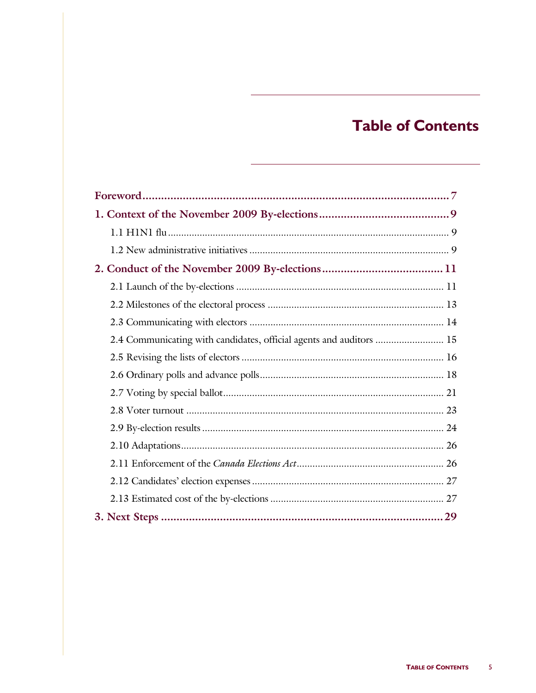# **Table of Contents**

| 2.4 Communicating with candidates, official agents and auditors  15 |  |
|---------------------------------------------------------------------|--|
|                                                                     |  |
|                                                                     |  |
|                                                                     |  |
|                                                                     |  |
|                                                                     |  |
|                                                                     |  |
|                                                                     |  |
|                                                                     |  |
|                                                                     |  |
|                                                                     |  |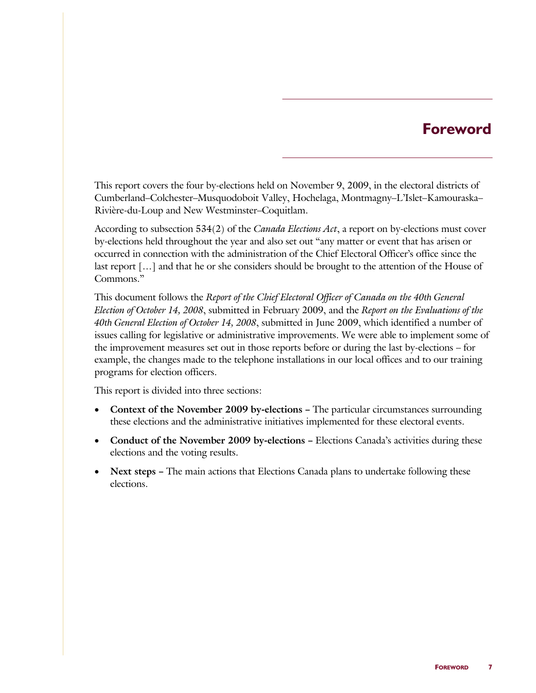# **Foreword**

This report covers the four by-elections held on November 9, 2009, in the electoral districts of Cumberland–Colchester–Musquodoboit Valley, Hochelaga, Montmagny–L'Islet–Kamouraska– Rivière-du-Loup and New Westminster–Coquitlam.

According to subsection 534(2) of the *Canada Elections Act*, a report on by-elections must cover by-elections held throughout the year and also set out "any matter or event that has arisen or occurred in connection with the administration of the Chief Electoral Officer's office since the last report […] and that he or she considers should be brought to the attention of the House of Commons."

This document follows the *Report of the Chief Electoral Officer of Canada on the 40th General Election of October 14, 2008*, submitted in February 2009, and the *Report on the Evaluations of the 40th General Election of October 14, 2008*, submitted in June 2009, which identified a number of issues calling for legislative or administrative improvements. We were able to implement some of the improvement measures set out in those reports before or during the last by-elections – for example, the changes made to the telephone installations in our local offices and to our training programs for election officers.

This report is divided into three sections:

- **Context of the November 2009 by-elections –** The particular circumstances surrounding these elections and the administrative initiatives implemented for these electoral events.
- **Conduct of the November 2009 by-elections –** Elections Canada's activities during these elections and the voting results.
- **Next steps -** The main actions that Elections Canada plans to undertake following these elections.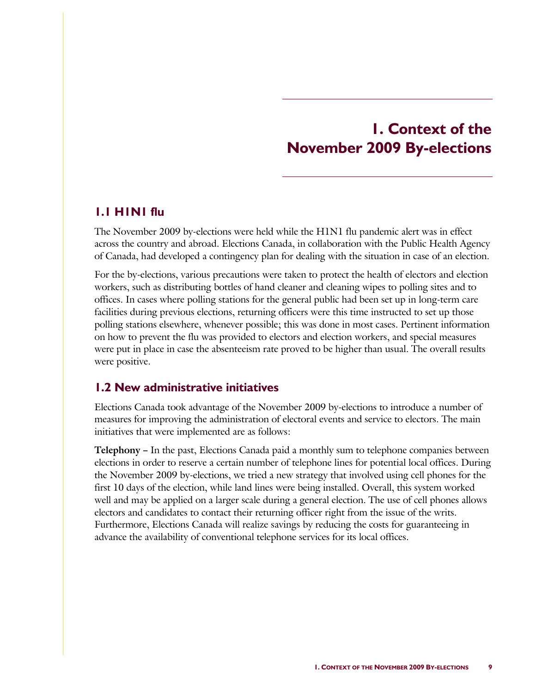# **1. Context of the November 2009 By-elections**

#### **1.1 H1N1 flu**

The November 2009 by-elections were held while the H1N1 flu pandemic alert was in effect across the country and abroad. Elections Canada, in collaboration with the Public Health Agency of Canada, had developed a contingency plan for dealing with the situation in case of an election.

For the by-elections, various precautions were taken to protect the health of electors and election workers, such as distributing bottles of hand cleaner and cleaning wipes to polling sites and to offices. In cases where polling stations for the general public had been set up in long-term care facilities during previous elections, returning officers were this time instructed to set up those polling stations elsewhere, whenever possible; this was done in most cases. Pertinent information on how to prevent the flu was provided to electors and election workers, and special measures were put in place in case the absenteeism rate proved to be higher than usual. The overall results were positive.

### **1.2 New administrative initiatives**

Elections Canada took advantage of the November 2009 by-elections to introduce a number of measures for improving the administration of electoral events and service to electors. The main initiatives that were implemented are as follows:

**Telephony –** In the past, Elections Canada paid a monthly sum to telephone companies between elections in order to reserve a certain number of telephone lines for potential local offices. During the November 2009 by-elections, we tried a new strategy that involved using cell phones for the first 10 days of the election, while land lines were being installed. Overall, this system worked well and may be applied on a larger scale during a general election. The use of cell phones allows electors and candidates to contact their returning officer right from the issue of the writs. Furthermore, Elections Canada will realize savings by reducing the costs for guaranteeing in advance the availability of conventional telephone services for its local offices.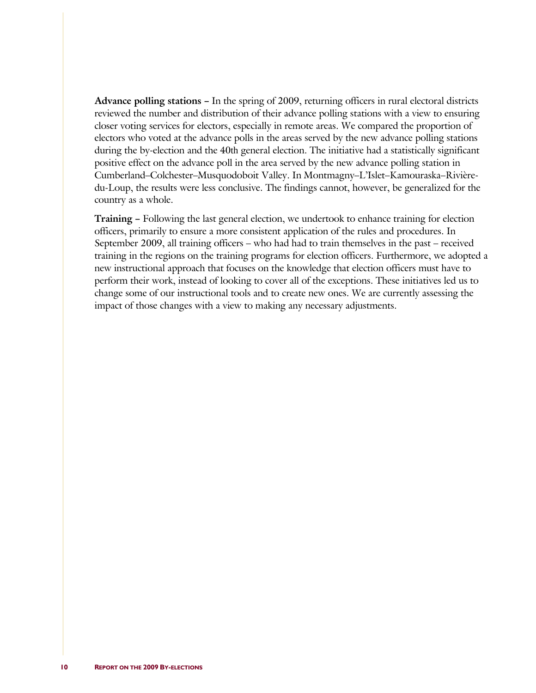**Advance polling stations –** In the spring of 2009, returning officers in rural electoral districts reviewed the number and distribution of their advance polling stations with a view to ensuring closer voting services for electors, especially in remote areas. We compared the proportion of electors who voted at the advance polls in the areas served by the new advance polling stations during the by-election and the 40th general election. The initiative had a statistically significant positive effect on the advance poll in the area served by the new advance polling station in Cumberland–Colchester–Musquodoboit Valley. In Montmagny–L'Islet–Kamouraska–Rivièredu-Loup, the results were less conclusive. The findings cannot, however, be generalized for the country as a whole.

**Training –** Following the last general election, we undertook to enhance training for election officers, primarily to ensure a more consistent application of the rules and procedures. In September 2009, all training officers – who had had to train themselves in the past – received training in the regions on the training programs for election officers. Furthermore, we adopted a new instructional approach that focuses on the knowledge that election officers must have to perform their work, instead of looking to cover all of the exceptions. These initiatives led us to change some of our instructional tools and to create new ones. We are currently assessing the impact of those changes with a view to making any necessary adjustments.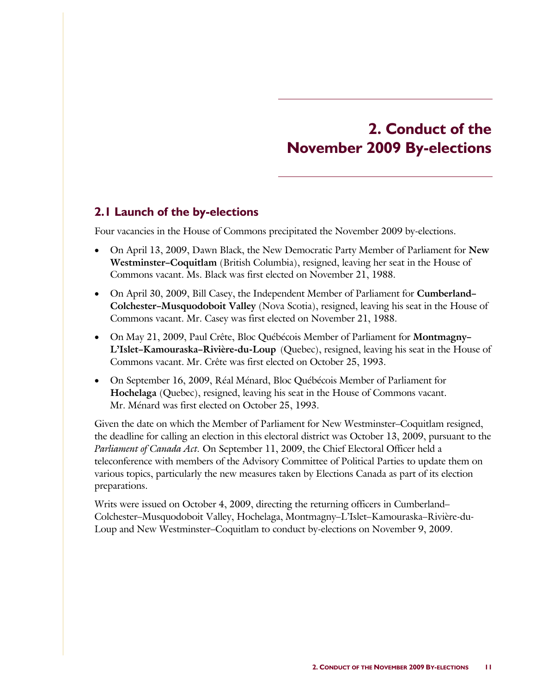# **2. Conduct of the November 2009 By-elections**

### **2.1 Launch of the by-elections**

Four vacancies in the House of Commons precipitated the November 2009 by-elections.

- On April 13, 2009, Dawn Black, the New Democratic Party Member of Parliament for **New Westminster–Coquitlam** (British Columbia), resigned, leaving her seat in the House of Commons vacant. Ms. Black was first elected on November 21, 1988.
- On April 30, 2009, Bill Casey, the Independent Member of Parliament for **Cumberland– Colchester–Musquodoboit Valley** (Nova Scotia), resigned, leaving his seat in the House of Commons vacant. Mr. Casey was first elected on November 21, 1988.
- On May 21, 2009, Paul Crête, Bloc Québécois Member of Parliament for **Montmagny– L'Islet–Kamouraska–Rivière-du-Loup** (Quebec), resigned, leaving his seat in the House of Commons vacant. Mr. Crête was first elected on October 25, 1993.
- On September 16, 2009, Réal Ménard, Bloc Québécois Member of Parliament for **Hochelaga** (Quebec), resigned, leaving his seat in the House of Commons vacant. Mr. Ménard was first elected on October 25, 1993.

Given the date on which the Member of Parliament for New Westminster–Coquitlam resigned, the deadline for calling an election in this electoral district was October 13, 2009, pursuant to the *Parliament of Canada Act.* On September 11, 2009, the Chief Electoral Officer held a teleconference with members of the Advisory Committee of Political Parties to update them on various topics, particularly the new measures taken by Elections Canada as part of its election preparations.

Writs were issued on October 4, 2009, directing the returning officers in Cumberland– Colchester–Musquodoboit Valley, Hochelaga, Montmagny–L'Islet–Kamouraska–Rivière-du-Loup and New Westminster–Coquitlam to conduct by-elections on November 9, 2009.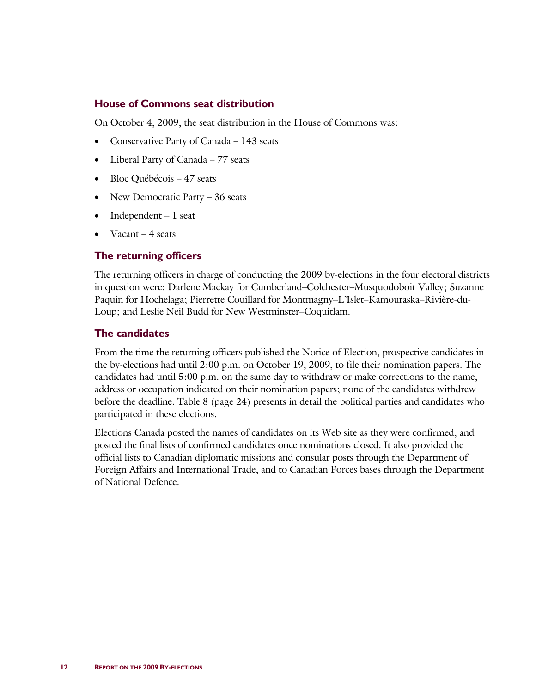#### **House of Commons seat distribution**

On October 4, 2009, the seat distribution in the House of Commons was:

- Conservative Party of Canada 143 seats
- Liberal Party of Canada 77 seats
- Bloc Québécois 47 seats
- New Democratic Party 36 seats
- Independent 1 seat
- Vacant  $-4$  seats

#### **The returning officers**

The returning officers in charge of conducting the 2009 by-elections in the four electoral districts in question were: Darlene Mackay for Cumberland–Colchester–Musquodoboit Valley; Suzanne Paquin for Hochelaga; Pierrette Couillard for Montmagny–L'Islet–Kamouraska–Rivière-du-Loup; and Leslie Neil Budd for New Westminster–Coquitlam.

#### **The candidates**

From the time the returning officers published the Notice of Election, prospective candidates in the by-elections had until 2:00 p.m. on October 19, 2009, to file their nomination papers. The candidates had until 5:00 p.m. on the same day to withdraw or make corrections to the name, address or occupation indicated on their nomination papers; none of the candidates withdrew before the deadline. Table 8 (page 24) presents in detail the political parties and candidates who participated in these elections.

Elections Canada posted the names of candidates on its Web site as they were confirmed, and posted the final lists of confirmed candidates once nominations closed. It also provided the official lists to Canadian diplomatic missions and consular posts through the Department of Foreign Affairs and International Trade, and to Canadian Forces bases through the Department of National Defence.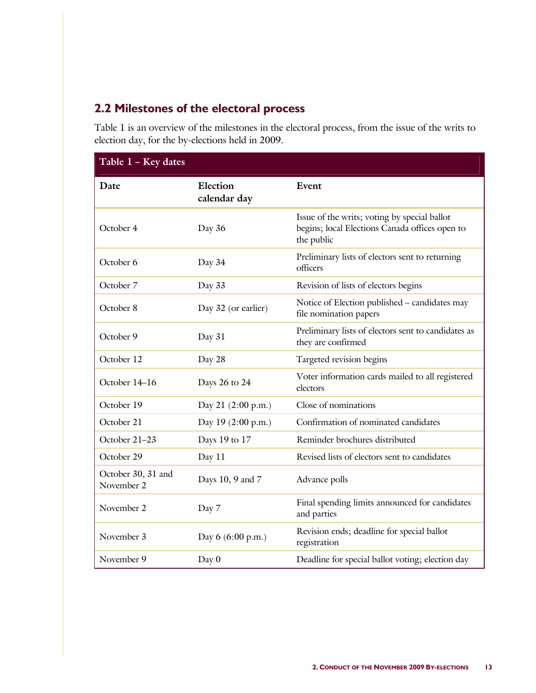# **2.2 Milestones of the electoral process**

Table 1 is an overview of the milestones in the electoral process, from the issue of the writs to election day, for the by-elections held in 2009.

| Table 1 - Key dates              |                          |                                                                                                              |
|----------------------------------|--------------------------|--------------------------------------------------------------------------------------------------------------|
| Date                             | Election<br>calendar day | Event                                                                                                        |
| October 4                        | Day 36                   | Issue of the writs; voting by special ballot<br>begins; local Elections Canada offices open to<br>the public |
| October 6                        | Day 34                   | Preliminary lists of electors sent to returning<br>officers                                                  |
| October 7                        | Day 33                   | Revision of lists of electors begins                                                                         |
| October 8                        | Day 32 (or earlier)      | Notice of Election published - candidates may<br>file nomination papers                                      |
| October 9                        | Day 31                   | Preliminary lists of electors sent to candidates as<br>they are confirmed                                    |
| October 12                       | Day 28                   | Targeted revision begins                                                                                     |
| October 14-16                    | Days 26 to 24            | Voter information cards mailed to all registered<br>electors                                                 |
| October 19                       | Day 21 (2:00 p.m.)       | Close of nominations                                                                                         |
| October 21                       | Day 19 (2:00 p.m.)       | Confirmation of nominated candidates                                                                         |
| October 21-23                    | Days 19 to 17            | Reminder brochures distributed                                                                               |
| October 29                       | Day 11                   | Revised lists of electors sent to candidates                                                                 |
| October 30, 31 and<br>November 2 | Days 10, 9 and 7         | Advance polls                                                                                                |
| November 2                       | Day 7                    | Final spending limits announced for candidates<br>and parties                                                |
| November 3                       | Day 6 (6:00 p.m.)        | Revision ends; deadline for special ballot<br>registration                                                   |
| November 9                       | Day 0                    | Deadline for special ballot voting; election day                                                             |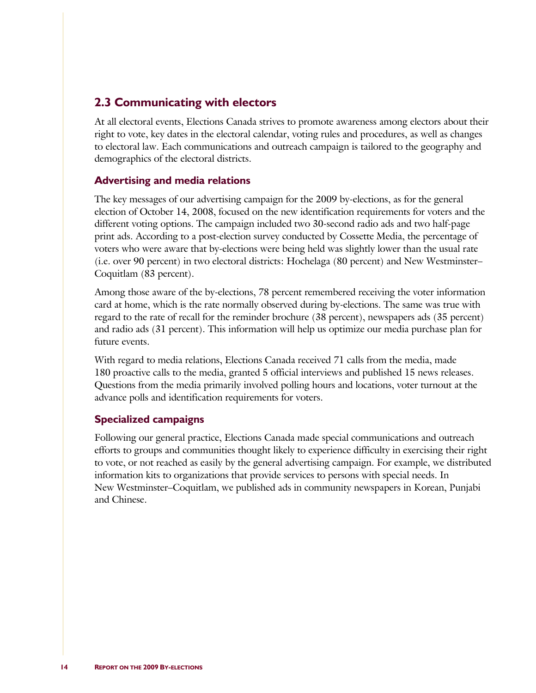### **2.3 Communicating with electors**

At all electoral events, Elections Canada strives to promote awareness among electors about their right to vote, key dates in the electoral calendar, voting rules and procedures, as well as changes to electoral law. Each communications and outreach campaign is tailored to the geography and demographics of the electoral districts.

### **Advertising and media relations**

The key messages of our advertising campaign for the 2009 by-elections, as for the general election of October 14, 2008, focused on the new identification requirements for voters and the different voting options. The campaign included two 30-second radio ads and two half-page print ads. According to a post-election survey conducted by Cossette Media, the percentage of voters who were aware that by-elections were being held was slightly lower than the usual rate (i.e. over 90 percent) in two electoral districts: Hochelaga (80 percent) and New Westminster– Coquitlam (83 percent).

Among those aware of the by-elections, 78 percent remembered receiving the voter information card at home, which is the rate normally observed during by-elections. The same was true with regard to the rate of recall for the reminder brochure (38 percent), newspapers ads (35 percent) and radio ads (31 percent). This information will help us optimize our media purchase plan for future events.

With regard to media relations, Elections Canada received 71 calls from the media, made 180 proactive calls to the media, granted 5 official interviews and published 15 news releases. Questions from the media primarily involved polling hours and locations, voter turnout at the advance polls and identification requirements for voters.

#### **Specialized campaigns**

Following our general practice, Elections Canada made special communications and outreach efforts to groups and communities thought likely to experience difficulty in exercising their right to vote, or not reached as easily by the general advertising campaign. For example, we distributed information kits to organizations that provide services to persons with special needs. In New Westminster–Coquitlam, we published ads in community newspapers in Korean, Punjabi and Chinese.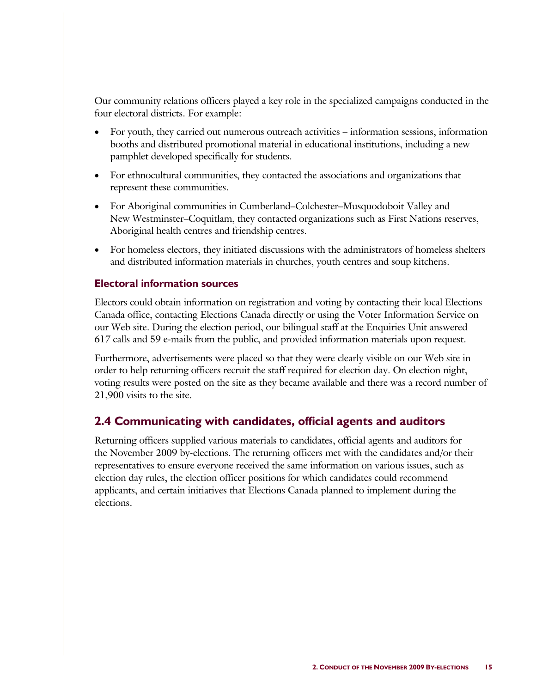Our community relations officers played a key role in the specialized campaigns conducted in the four electoral districts. For example:

- For youth, they carried out numerous outreach activities information sessions, information booths and distributed promotional material in educational institutions, including a new pamphlet developed specifically for students.
- For ethnocultural communities, they contacted the associations and organizations that represent these communities.
- For Aboriginal communities in Cumberland–Colchester–Musquodoboit Valley and New Westminster–Coquitlam, they contacted organizations such as First Nations reserves, Aboriginal health centres and friendship centres.
- For homeless electors, they initiated discussions with the administrators of homeless shelters and distributed information materials in churches, youth centres and soup kitchens.

#### **Electoral information sources**

Electors could obtain information on registration and voting by contacting their local Elections Canada office, contacting Elections Canada directly or using the Voter Information Service on our Web site. During the election period, our bilingual staff at the Enquiries Unit answered 617 calls and 59 e-mails from the public, and provided information materials upon request.

Furthermore, advertisements were placed so that they were clearly visible on our Web site in order to help returning officers recruit the staff required for election day. On election night, voting results were posted on the site as they became available and there was a record number of 21,900 visits to the site.

### **2.4 Communicating with candidates, official agents and auditors**

Returning officers supplied various materials to candidates, official agents and auditors for the November 2009 by-elections. The returning officers met with the candidates and/or their representatives to ensure everyone received the same information on various issues, such as election day rules, the election officer positions for which candidates could recommend applicants, and certain initiatives that Elections Canada planned to implement during the elections.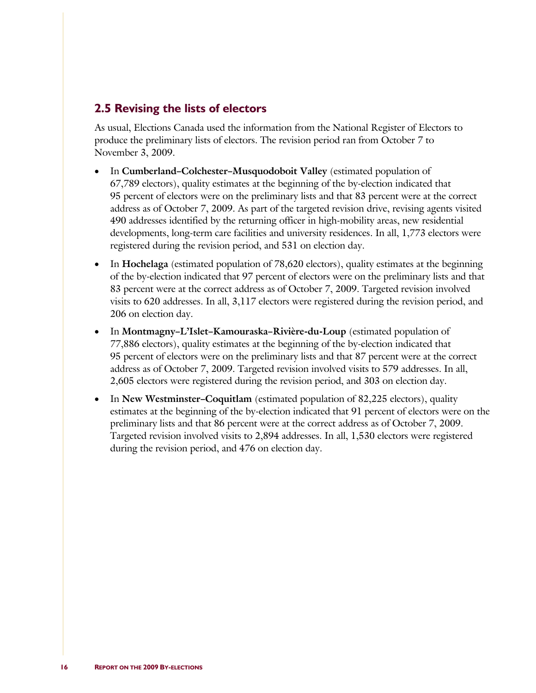### **2.5 Revising the lists of electors**

As usual, Elections Canada used the information from the National Register of Electors to produce the preliminary lists of electors. The revision period ran from October 7 to November 3, 2009.

- In **Cumberland–Colchester–Musquodoboit Valley** (estimated population of 67,789 electors), quality estimates at the beginning of the by-election indicated that 95 percent of electors were on the preliminary lists and that 83 percent were at the correct address as of October 7, 2009. As part of the targeted revision drive, revising agents visited 490 addresses identified by the returning officer in high-mobility areas, new residential developments, long-term care facilities and university residences. In all, 1,773 electors were registered during the revision period, and 531 on election day.
- In **Hochelaga** (estimated population of 78,620 electors), quality estimates at the beginning of the by-election indicated that 97 percent of electors were on the preliminary lists and that 83 percent were at the correct address as of October 7, 2009. Targeted revision involved visits to 620 addresses. In all, 3,117 electors were registered during the revision period, and 206 on election day.
- In **Montmagny–L'Islet–Kamouraska–Rivière-du-Loup** (estimated population of 77,886 electors), quality estimates at the beginning of the by-election indicated that 95 percent of electors were on the preliminary lists and that 87 percent were at the correct address as of October 7, 2009. Targeted revision involved visits to 579 addresses. In all, 2,605 electors were registered during the revision period, and 303 on election day.
- In **New Westminster–Coquitlam** (estimated population of 82,225 electors), quality estimates at the beginning of the by-election indicated that 91 percent of electors were on the preliminary lists and that 86 percent were at the correct address as of October 7, 2009. Targeted revision involved visits to 2,894 addresses. In all, 1,530 electors were registered during the revision period, and 476 on election day.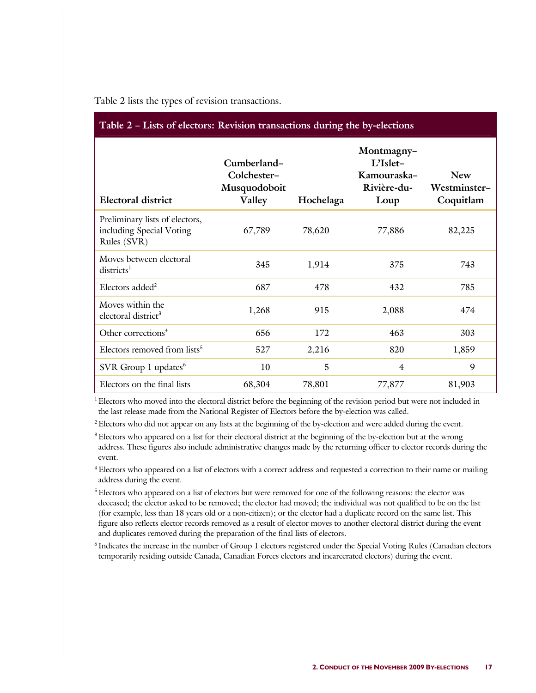| Table 2 - Lists of electors: Revision transactions during the by-elections |                                                      |           |                                                              |                                         |  |  |
|----------------------------------------------------------------------------|------------------------------------------------------|-----------|--------------------------------------------------------------|-----------------------------------------|--|--|
| <b>Electoral district</b>                                                  | Cumberland-<br>Colchester-<br>Musquodoboit<br>Valley | Hochelaga | Montmagny-<br>L'Islet-<br>Kamouraska-<br>Rivière-du-<br>Loup | <b>New</b><br>Westminster-<br>Coquitlam |  |  |
| Preliminary lists of electors,<br>including Special Voting<br>Rules (SVR)  | 67,789                                               | 78,620    | 77,886                                                       | 82,225                                  |  |  |
| Moves between electoral<br>districts <sup>1</sup>                          | 345                                                  | 1,914     | 375                                                          | 743                                     |  |  |
| Electors added <sup>2</sup>                                                | 687                                                  | 478       | 432                                                          | 785                                     |  |  |
| Moves within the<br>electoral district <sup>3</sup>                        | 1,268                                                | 915       | 2,088                                                        | 474                                     |  |  |
| Other corrections <sup>4</sup>                                             | 656                                                  | 172       | 463                                                          | 303                                     |  |  |
| Electors removed from lists <sup>5</sup>                                   | 527                                                  | 2,216     | 820                                                          | 1,859                                   |  |  |
| SVR Group 1 updates <sup>6</sup>                                           | 10                                                   | 5         | $\overline{4}$                                               | 9                                       |  |  |
| Electors on the final lists                                                | 68,304                                               | 78,801    | 77,877                                                       | 81,903                                  |  |  |

#### Table 2 lists the types of revision transactions.

<sup>1</sup> Electors who moved into the electoral district before the beginning of the revision period but were not included in the last release made from the National Register of Electors before the by-election was called.

<sup>2</sup> Electors who did not appear on any lists at the beginning of the by-election and were added during the event.

<sup>3</sup> Electors who appeared on a list for their electoral district at the beginning of the by-election but at the wrong address. These figures also include administrative changes made by the returning officer to elector records during the event.

<sup>4</sup> Electors who appeared on a list of electors with a correct address and requested a correction to their name or mailing address during the event.

<sup>5</sup> Electors who appeared on a list of electors but were removed for one of the following reasons: the elector was deceased; the elector asked to be removed; the elector had moved; the individual was not qualified to be on the list (for example, less than 18 years old or a non-citizen); or the elector had a duplicate record on the same list. This figure also reflects elector records removed as a result of elector moves to another electoral district during the event and duplicates removed during the preparation of the final lists of electors.

<sup>6</sup> Indicates the increase in the number of Group 1 electors registered under the Special Voting Rules (Canadian electors temporarily residing outside Canada, Canadian Forces electors and incarcerated electors) during the event.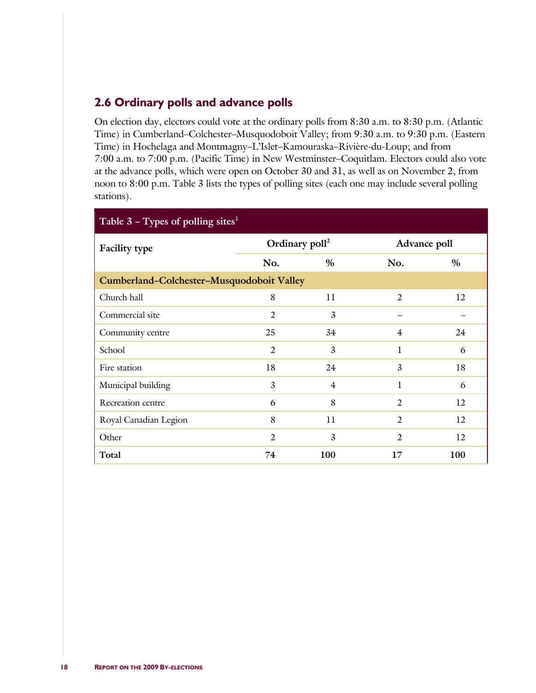## **2.6 Ordinary polls and advance polls**

On election day, electors could vote at the ordinary polls from 8:30 a.m. to 8:30 p.m. (Atlantic Time) in Cumberland–Colchester–Musquodoboit Valley; from 9:30 a.m. to 9:30 p.m. (Eastern Time) in Hochelaga and Montmagny–L'Islet–Kamouraska–Rivière-du-Loup; and from 7:00 a.m. to 7:00 p.m. (Pacific Time) in New Westminster–Coquitlam. Electors could also vote at the advance polls, which were open on October 30 and 31, as well as on November 2, from noon to 8:00 p.m. Table 3 lists the types of polling sites (each one may include several polling stations).

| Table $3$ – Types of polling sites <sup>1</sup> |                |                            |                |              |
|-------------------------------------------------|----------------|----------------------------|----------------|--------------|
| <b>Facility type</b>                            |                | Ordinary poll <sup>2</sup> |                | Advance poll |
|                                                 | No.            | $\%$                       | No.            | $\%$         |
| Cumberland-Colchester-Musquodoboit Valley       |                |                            |                |              |
| Church hall                                     | 8              | 11                         | $\overline{2}$ | 12           |
| Commercial site                                 | 2              | 3                          |                |              |
| Community centre                                | 25             | 34                         | 4              | 24           |
| School                                          | $\overline{2}$ | 3                          | 1              | 6            |
| Fire station                                    | 18             | 24                         | 3              | 18           |
| Municipal building                              | 3              | $\overline{4}$             | 1              | 6            |
| Recreation centre                               | 6              | 8                          | $\overline{2}$ | 12           |
| Royal Canadian Legion                           | 8              | 11                         | $\overline{2}$ | 12           |
| Other                                           | $\overline{2}$ | 3                          | $\overline{2}$ | 12           |
| Total                                           | 74             | 100                        | 17             | <b>100</b>   |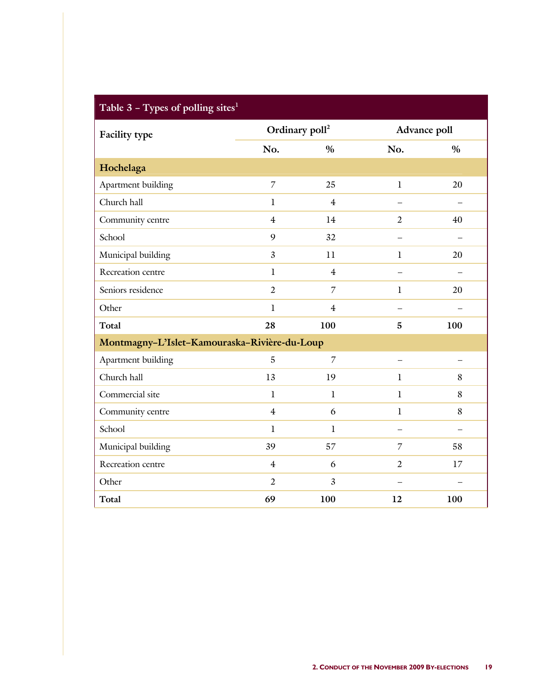| Table $3$ – Types of polling sites <sup>1</sup> |                            |                |                          |                          |
|-------------------------------------------------|----------------------------|----------------|--------------------------|--------------------------|
| <b>Facility type</b>                            | Ordinary poll <sup>2</sup> |                | Advance poll             |                          |
|                                                 | No.                        | $\%$           | No.                      | $\%$                     |
| Hochelaga                                       |                            |                |                          |                          |
| Apartment building                              | $\overline{7}$             | 25             | $\mathbf l$              | 20                       |
| Church hall                                     | $\mathbf{l}$               | $\overline{4}$ |                          |                          |
| Community centre                                | $\overline{4}$             | 14             | $\overline{2}$           | 40                       |
| School                                          | 9                          | 32             |                          |                          |
| Municipal building                              | $\overline{3}$             | 11             | $\mathbf{1}$             | 20                       |
| Recreation centre                               | $\mathbf{1}$               | $\overline{4}$ | $\overline{\phantom{0}}$ |                          |
| Seniors residence                               | $\overline{2}$             | $\overline{7}$ | $\mathbf{1}$             | 20                       |
| Other                                           | $\bf{l}$                   | $\overline{4}$ |                          |                          |
| <b>Total</b>                                    | 28                         | 100            | 5                        | 100                      |
| Montmagny-L'Islet-Kamouraska-Rivière-du-Loup    |                            |                |                          |                          |
| Apartment building                              | 5                          | $\overline{7}$ |                          |                          |
| Church hall                                     | 13                         | 19             | $\mathbf{1}$             | 8                        |
| Commercial site                                 | $\mathbf{1}$               | $\mathbf{1}$   | $\mathbf{1}$             | 8                        |
| Community centre                                | $\overline{4}$             | 6              | $\mathbf l$              | 8                        |
| School                                          | $\mathbf l$                | $\bf{l}$       |                          | $\overline{\phantom{0}}$ |
| Municipal building                              | 39                         | 57             | $\overline{7}$           | 58                       |
| Recreation centre                               | $\overline{4}$             | 6              | $\overline{2}$           | 17                       |
| Other                                           | $\overline{2}$             | $\overline{3}$ | $\overline{\phantom{0}}$ | $\equiv$                 |
| <b>Total</b>                                    | 69                         | 100            | 12                       | 100                      |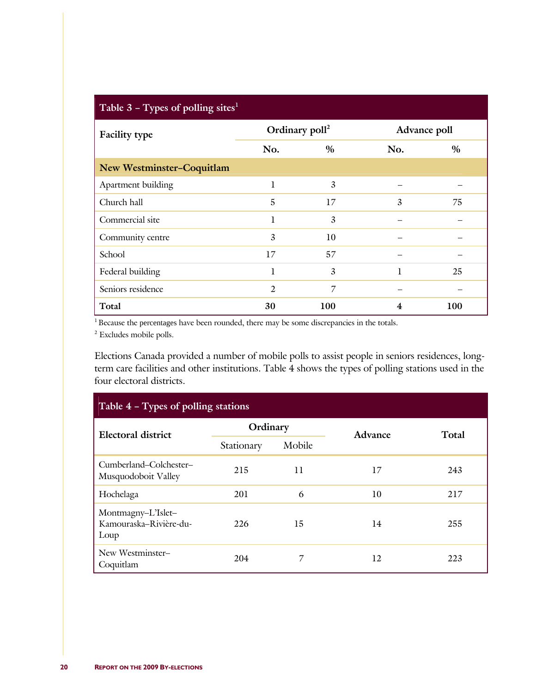| Table $3$ – Types of polling sites <sup>1</sup> |                            |      |              |            |
|-------------------------------------------------|----------------------------|------|--------------|------------|
| <b>Facility type</b>                            | Ordinary poll <sup>2</sup> |      | Advance poll |            |
|                                                 | No.                        | $\%$ | No.          | $\%$       |
| <b>New Westminster-Coquitlam</b>                |                            |      |              |            |
| Apartment building                              | 1                          | 3    |              |            |
| Church hall                                     | 5                          | 17   | 3            | 75         |
| Commercial site                                 | 1                          | 3    |              |            |
| Community centre                                | 3                          | 10   |              |            |
| School                                          | 17                         | 57   |              |            |
| Federal building                                | l                          | 3    |              | 25         |
| Seniors residence                               | $\overline{2}$             | 7    |              |            |
| Total                                           | 30                         | 100  | 4            | <b>100</b> |

<sup>1</sup> Because the percentages have been rounded, there may be some discrepancies in the totals.

2 Excludes mobile polls.

Elections Canada provided a number of mobile polls to assist people in seniors residences, longterm care facilities and other institutions. Table 4 shows the types of polling stations used in the four electoral districts.

| Table 4 – Types of polling stations                  |            |              |         |       |  |  |
|------------------------------------------------------|------------|--------------|---------|-------|--|--|
| Electoral district                                   | Ordinary   |              | Advance | Total |  |  |
|                                                      | Stationary | Mobile       |         |       |  |  |
| Cumberland-Colchester-<br>Musquodoboit Valley        | 215        | $\mathbf{1}$ | 17      | 243   |  |  |
| Hochelaga                                            | 201        | 6            | 10      | 217   |  |  |
| Montmagny-L'Islet-<br>Kamouraska-Rivière-du-<br>Loup | 226        | 15           | 14      | 255   |  |  |
| New Westminster-<br>Coquitlam                        | 204        | 7            | 12      | 223   |  |  |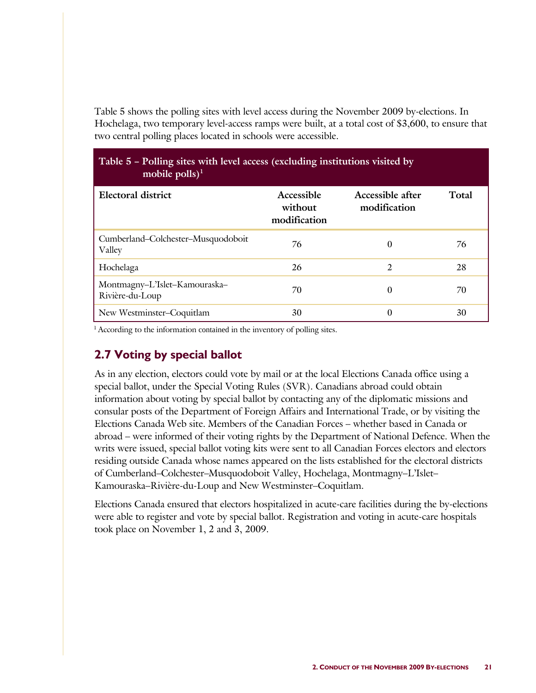Table 5 shows the polling sites with level access during the November 2009 by-elections. In Hochelaga, two temporary level-access ramps were built, at a total cost of \$3,600, to ensure that two central polling places located in schools were accessible.

| Table 5 - Polling sites with level access (excluding institutions visited by<br>mobile $\text{polls}$ <sup>1</sup> |                                       |                                  |       |
|--------------------------------------------------------------------------------------------------------------------|---------------------------------------|----------------------------------|-------|
| Electoral district                                                                                                 | Accessible<br>without<br>modification | Accessible after<br>modification | Total |
| Cumberland-Colchester-Musquodoboit<br>Valley                                                                       | 76                                    | 0                                | 76    |
| Hochelaga                                                                                                          | 26                                    | 2                                | 28    |
| Montmagny-L'Islet-Kamouraska-<br>Rivière-du-Loup                                                                   | 70                                    | 0                                | 70    |
| New Westminster-Coquitlam                                                                                          | 30                                    | 0                                | 30    |

<sup>1</sup> According to the information contained in the inventory of polling sites.

# **2.7 Voting by special ballot**

As in any election, electors could vote by mail or at the local Elections Canada office using a special ballot, under the Special Voting Rules (SVR). Canadians abroad could obtain information about voting by special ballot by contacting any of the diplomatic missions and consular posts of the Department of Foreign Affairs and International Trade, or by visiting the Elections Canada Web site. Members of the Canadian Forces – whether based in Canada or abroad – were informed of their voting rights by the Department of National Defence. When the writs were issued, special ballot voting kits were sent to all Canadian Forces electors and electors residing outside Canada whose names appeared on the lists established for the electoral districts of Cumberland–Colchester–Musquodoboit Valley, Hochelaga, Montmagny–L'Islet– Kamouraska–Rivière-du-Loup and New Westminster–Coquitlam.

Elections Canada ensured that electors hospitalized in acute-care facilities during the by-elections were able to register and vote by special ballot. Registration and voting in acute-care hospitals took place on November 1, 2 and 3, 2009.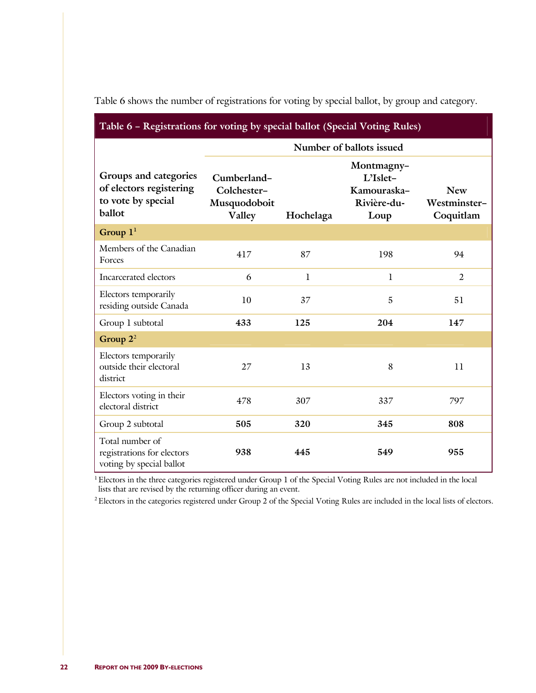| Table 6 - Registrations for voting by special ballot (Special Voting Rules)      |                                                      |                          |                                                              |                                         |  |  |  |  |
|----------------------------------------------------------------------------------|------------------------------------------------------|--------------------------|--------------------------------------------------------------|-----------------------------------------|--|--|--|--|
|                                                                                  |                                                      | Number of ballots issued |                                                              |                                         |  |  |  |  |
| Groups and categories<br>of electors registering<br>to vote by special<br>ballot | Cumberland-<br>Colchester-<br>Musquodoboit<br>Valley | Hochelaga                | Montmagny-<br>L'Islet-<br>Kamouraska-<br>Rivière-du-<br>Loup | <b>New</b><br>Westminster-<br>Coquitlam |  |  |  |  |
| Group $11$                                                                       |                                                      |                          |                                                              |                                         |  |  |  |  |
| Members of the Canadian<br>Forces                                                | 417                                                  | 87                       | 198                                                          | 94                                      |  |  |  |  |
| Incarcerated electors                                                            | 6                                                    | $\mathbf{1}$             | 1                                                            | $\overline{2}$                          |  |  |  |  |
| Electors temporarily<br>residing outside Canada                                  | 10                                                   | 37                       | 5                                                            | 51                                      |  |  |  |  |
| Group 1 subtotal                                                                 | 433                                                  | 125                      | 204                                                          | 147                                     |  |  |  |  |
| Group $2^2$                                                                      |                                                      |                          |                                                              |                                         |  |  |  |  |
| Electors temporarily<br>outside their electoral<br>district                      | 27                                                   | 13                       | 8                                                            | 11                                      |  |  |  |  |
| Electors voting in their<br>electoral district                                   | 478                                                  | 307                      | 337                                                          | 797                                     |  |  |  |  |
| Group 2 subtotal                                                                 | 505                                                  | 320                      | 345                                                          | 808                                     |  |  |  |  |
| Total number of<br>registrations for electors<br>voting by special ballot        | 938                                                  | 445                      | 549                                                          | 955                                     |  |  |  |  |

Table 6 shows the number of registrations for voting by special ballot, by group and category.

<sup>1</sup> Electors in the three categories registered under Group 1 of the Special Voting Rules are not included in the local lists that are revised by the returning officer during an event.

<sup>2</sup> Electors in the categories registered under Group 2 of the Special Voting Rules are included in the local lists of electors.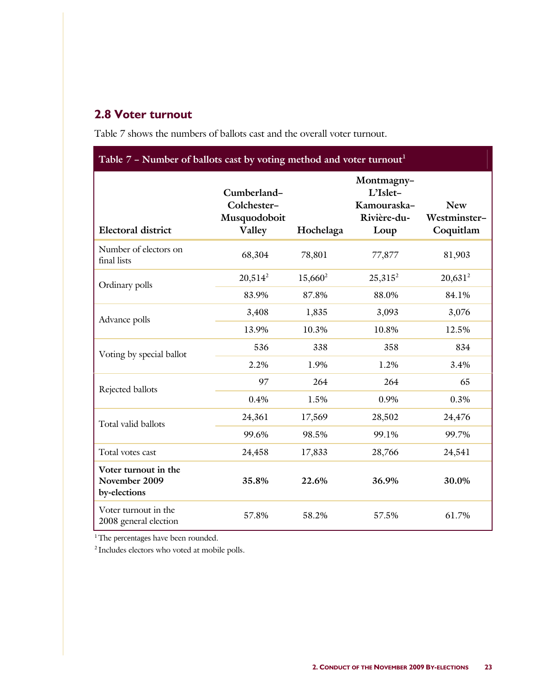# **2.8 Voter turnout**

Table 7 shows the numbers of ballots cast and the overall voter turnout.

| Table 7 - Number of ballots cast by voting method and voter turnout <sup>1</sup> |                                                      |            |                                                              |                                         |
|----------------------------------------------------------------------------------|------------------------------------------------------|------------|--------------------------------------------------------------|-----------------------------------------|
| <b>Electoral district</b>                                                        | Cumberland-<br>Colchester-<br>Musquodoboit<br>Valley | Hochelaga  | Montmagny-<br>L'Islet-<br>Kamouraska-<br>Rivière-du-<br>Loup | <b>New</b><br>Westminster-<br>Coquitlam |
| Number of electors on<br>final lists                                             | 68,304                                               | 78,801     | 77,877                                                       | 81,903                                  |
| Ordinary polls                                                                   | $20,514^2$                                           | $15,660^2$ | $25,315^2$                                                   | $20,631^2$                              |
|                                                                                  | 83.9%                                                | 87.8%      | 88.0%                                                        | 84.1%                                   |
| Advance polls                                                                    | 3,408                                                | 1,835      | 3,093                                                        | 3,076                                   |
|                                                                                  | 13.9%                                                | 10.3%      | 10.8%                                                        | 12.5%                                   |
|                                                                                  | 536                                                  | 338        | 358                                                          | 834                                     |
| Voting by special ballot                                                         | 2.2%                                                 | 1.9%       | 1.2%                                                         | 3.4%                                    |
| Rejected ballots                                                                 | 97                                                   | 264        | 264                                                          | 65                                      |
|                                                                                  | 0.4%                                                 | 1.5%       | 0.9%                                                         | 0.3%                                    |
| Total valid ballots                                                              | 24,361                                               | 17,569     | 28,502                                                       | 24,476                                  |
|                                                                                  | 99.6%                                                | 98.5%      | 99.1%                                                        | 99.7%                                   |
| Total votes cast                                                                 | 24,458                                               | 17,833     | 28,766                                                       | 24,541                                  |
| Voter turnout in the<br>November 2009<br>by-elections                            | 35.8%                                                | 22.6%      | 36.9%                                                        | 30.0%                                   |
| Voter turnout in the<br>2008 general election                                    | 57.8%                                                | 58.2%      | 57.5%                                                        | 61.7%                                   |

<sup>1</sup>The percentages have been rounded.

2 Includes electors who voted at mobile polls.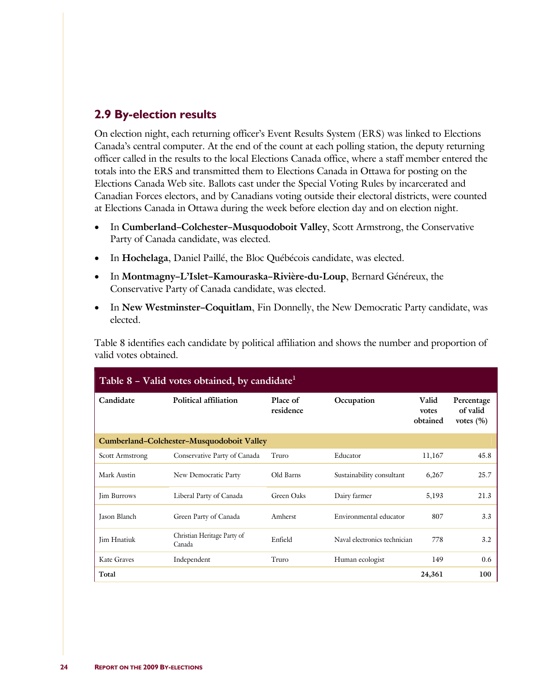# **2.9 By-election results**

On election night, each returning officer's Event Results System (ERS) was linked to Elections Canada's central computer. At the end of the count at each polling station, the deputy returning officer called in the results to the local Elections Canada office, where a staff member entered the totals into the ERS and transmitted them to Elections Canada in Ottawa for posting on the Elections Canada Web site. Ballots cast under the Special Voting Rules by incarcerated and Canadian Forces electors, and by Canadians voting outside their electoral districts, were counted at Elections Canada in Ottawa during the week before election day and on election night.

- In **Cumberland–Colchester–Musquodoboit Valley**, Scott Armstrong, the Conservative Party of Canada candidate, was elected.
- In **Hochelaga**, Daniel Paillé, the Bloc Québécois candidate, was elected.
- In **Montmagny–L'Islet–Kamouraska–Rivière-du-Loup**, Bernard Généreux, the Conservative Party of Canada candidate, was elected.
- In **New Westminster–Coquitlam**, Fin Donnelly, the New Democratic Party candidate, was elected.

Table 8 identifies each candidate by political affiliation and shows the number and proportion of valid votes obtained.

|                        | Table $8$ – Valid votes obtained, by candidate <sup>1</sup> |                       |                              |                            |                                         |
|------------------------|-------------------------------------------------------------|-----------------------|------------------------------|----------------------------|-----------------------------------------|
| Candidate              | Political affiliation                                       | Place of<br>residence | Occupation                   | Valid<br>votes<br>obtained | Percentage<br>of valid<br>votes $(\% )$ |
|                        | Cumberland-Colchester-Musquodoboit Valley                   |                       |                              |                            |                                         |
| <b>Scott Armstrong</b> | Conservative Party of Canada                                | Truro                 | Educator                     | 11,167                     | 45.8                                    |
| Mark Austin            | New Democratic Party                                        | Old Barns             | Sustainability consultant    | 6,267                      | 25.7                                    |
| <b>Jim Burrows</b>     | Liberal Party of Canada                                     | Green Oaks            | Dairy farmer                 | 5,193                      | 21.3                                    |
| Jason Blanch           | Green Party of Canada                                       | Amherst               | Environmental educator       | 807                        | 3.3                                     |
| Jim Hnatiuk            | Christian Heritage Party of<br>Canada                       | Enfield               | Naval electronics technician | 778                        | 3.2                                     |
| Kate Graves            | Independent                                                 | Truro                 | Human ecologist              | 149                        | 0.6                                     |
| Total                  |                                                             |                       |                              | 24,361                     | 100                                     |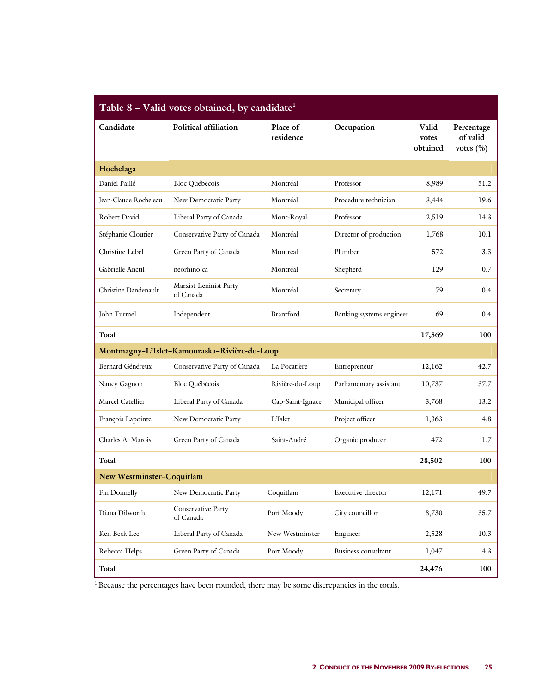| Candidate                 | Political affiliation                        | Place of<br>residence | Occupation               | Valid<br>votes<br>obtained | Percentage<br>of valid<br>votes $(\% )$ |
|---------------------------|----------------------------------------------|-----------------------|--------------------------|----------------------------|-----------------------------------------|
| Hochelaga                 |                                              |                       |                          |                            |                                         |
| Daniel Paillé             | Bloc Québécois                               | Montréal              | Professor                | 8,989                      | 51.2                                    |
| Jean-Claude Rocheleau     | New Democratic Party                         | Montréal              | Procedure technician     | 3,444                      | 19.6                                    |
| Robert David              | Liberal Party of Canada                      | Mont-Royal            | Professor                | 2,519                      | 14.3                                    |
| Stéphanie Cloutier        | Conservative Party of Canada                 | Montréal              | Director of production   | 1,768                      | 10.1                                    |
| Christine Lebel           | Green Party of Canada                        | Montréal              | Plumber                  | 572                        | 3.3                                     |
| Gabrielle Anctil          | neorhino.ca                                  | Montréal              | Shepherd                 | 129                        | 0.7                                     |
| Christine Dandenault      | Marxist-Leninist Party<br>of Canada          | Montréal              | Secretary                | 79                         | 0.4                                     |
| John Turmel               | Independent                                  | Brantford             | Banking systems engineer | 69                         | 0.4                                     |
| Total                     |                                              |                       |                          | 17,569                     | 100                                     |
|                           | Montmagny-L'Islet-Kamouraska-Rivière-du-Loup |                       |                          |                            |                                         |
| Bernard Généreux          | Conservative Party of Canada                 | La Pocatière          | Entrepreneur             | 12,162                     | 42.7                                    |
| Nancy Gagnon              | <b>Bloc Québécois</b>                        | Rivière-du-Loup       | Parliamentary assistant  | 10,737                     | 37.7                                    |
| Marcel Catellier          | Liberal Party of Canada                      | Cap-Saint-Ignace      | Municipal officer        | 3,768                      | 13.2                                    |
| François Lapointe         | New Democratic Party                         | L'Islet               | Project officer          | 1,363                      | 4.8                                     |
| Charles A. Marois         | Green Party of Canada                        | Saint-André           | Organic producer         | 472                        | $1.7\,$                                 |
| Total                     |                                              |                       |                          | 28,502                     | 100                                     |
| New Westminster-Coquitlam |                                              |                       |                          |                            |                                         |
| Fin Donnelly              | New Democratic Party                         | Coquitlam             | Executive director       | 12,171                     | 49.7                                    |
| Diana Dilworth            | Conservative Party<br>of Canada              | Port Moody            | City councillor          | 8,730                      | 35.7                                    |
| Ken Beck Lee              | Liberal Party of Canada                      | New Westminster       | Engineer                 | 2,528                      | 10.3                                    |
| Rebecca Helps             | Green Party of Canada                        | Port Moody            | Business consultant      | 1,047                      | 4.3                                     |
| Total                     |                                              |                       |                          | 24,476                     | 100                                     |

<sup>1</sup> Because the percentages have been rounded, there may be some discrepancies in the totals.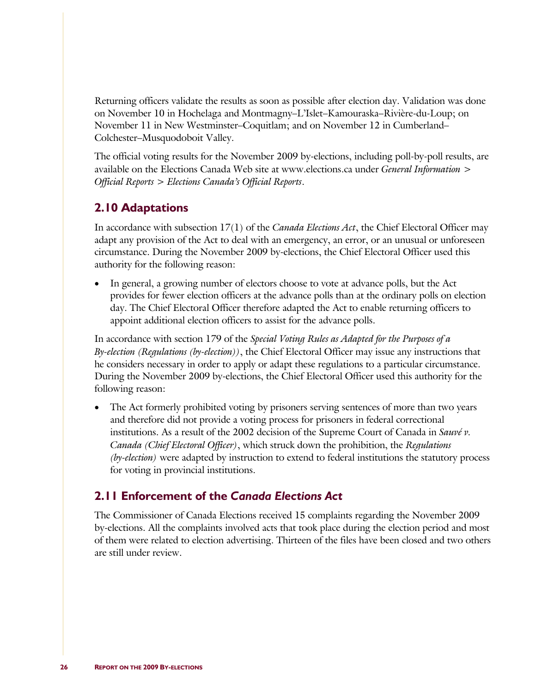Returning officers validate the results as soon as possible after election day. Validation was done on November 10 in Hochelaga and Montmagny–L'Islet–Kamouraska–Rivière-du-Loup; on November 11 in New Westminster–Coquitlam; and on November 12 in Cumberland– Colchester–Musquodoboit Valley.

The official voting results for the November 2009 by-elections, including poll-by-poll results, are available on the Elections Canada Web site at www.elections.ca under *General Information* > *Official Reports* > *Elections Canada's Official Reports*.

### **2.10 Adaptations**

In accordance with subsection 17(1) of the *Canada Elections Act*, the Chief Electoral Officer may adapt any provision of the Act to deal with an emergency, an error, or an unusual or unforeseen circumstance. During the November 2009 by-elections, the Chief Electoral Officer used this authority for the following reason:

• In general, a growing number of electors choose to vote at advance polls, but the Act provides for fewer election officers at the advance polls than at the ordinary polls on election day. The Chief Electoral Officer therefore adapted the Act to enable returning officers to appoint additional election officers to assist for the advance polls.

In accordance with section 179 of the *Special Voting Rules as Adapted for the Purposes of a By-election (Regulations (by-election))*, the Chief Electoral Officer may issue any instructions that he considers necessary in order to apply or adapt these regulations to a particular circumstance. During the November 2009 by-elections, the Chief Electoral Officer used this authority for the following reason:

• The Act formerly prohibited voting by prisoners serving sentences of more than two years and therefore did not provide a voting process for prisoners in federal correctional institutions. As a result of the 2002 decision of the Supreme Court of Canada in *Sauvé v. Canada (Chief Electoral Officer)*, which struck down the prohibition, the *Regulations (by-election)* were adapted by instruction to extend to federal institutions the statutory process for voting in provincial institutions.

# **2.11 Enforcement of the** *Canada Elections Act*

The Commissioner of Canada Elections received 15 complaints regarding the November 2009 by-elections. All the complaints involved acts that took place during the election period and most of them were related to election advertising. Thirteen of the files have been closed and two others are still under review.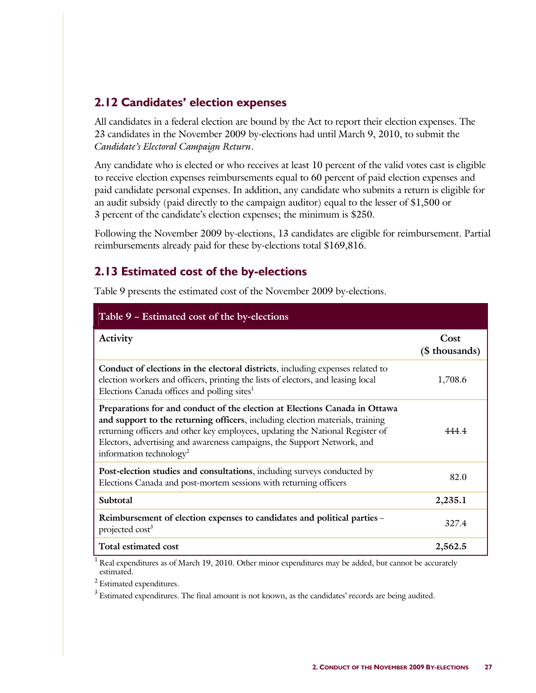# **2.12 Candidates' election expenses**

All candidates in a federal election are bound by the Act to report their election expenses. The 23 candidates in the November 2009 by-elections had until March 9, 2010, to submit the *Candidate's Electoral Campaign Return*.

Any candidate who is elected or who receives at least 10 percent of the valid votes cast is eligible to receive election expenses reimbursements equal to 60 percent of paid election expenses and paid candidate personal expenses. In addition, any candidate who submits a return is eligible for an audit subsidy (paid directly to the campaign auditor) equal to the lesser of \$1,500 or 3 percent of the candidate's election expenses; the minimum is \$250.

Following the November 2009 by-elections, 13 candidates are eligible for reimbursement. Partial reimbursements already paid for these by-elections total \$169,816.

# **2.13 Estimated cost of the by-elections**

Table 9 presents the estimated cost of the November 2009 by-elections.

| Table 9 - Estimated cost of the by-elections                                                                                                                                                                                                                                                                                                                   |                        |
|----------------------------------------------------------------------------------------------------------------------------------------------------------------------------------------------------------------------------------------------------------------------------------------------------------------------------------------------------------------|------------------------|
| Activity                                                                                                                                                                                                                                                                                                                                                       | Cost<br>(\$ thousands) |
| Conduct of elections in the electoral districts, including expenses related to<br>election workers and officers, printing the lists of electors, and leasing local<br>Elections Canada offices and polling sites <sup>1</sup>                                                                                                                                  | 1,708.6                |
| Preparations for and conduct of the election at Elections Canada in Ottawa<br>and support to the returning officers, including election materials, training<br>returning officers and other key employees, updating the National Register of<br>Electors, advertising and awareness campaigns, the Support Network, and<br>information technology <sup>2</sup> | 44444                  |
| Post-election studies and consultations, including surveys conducted by<br>Elections Canada and post-mortem sessions with returning officers                                                                                                                                                                                                                   | 82.0                   |
| Subtotal                                                                                                                                                                                                                                                                                                                                                       | 2,235.1                |
| Reimbursement of election expenses to candidates and political parties -<br>projected cost <sup>3</sup>                                                                                                                                                                                                                                                        | 327.4                  |
| Total estimated cost                                                                                                                                                                                                                                                                                                                                           | 2,562.5                |

<sup>1</sup> Real expenditures as of March 19, 2010. Other minor expenditures may be added, but cannot be accurately estimated.

2 Estimated expenditures.

 $3$  Estimated expenditures. The final amount is not known, as the candidates' records are being audited.